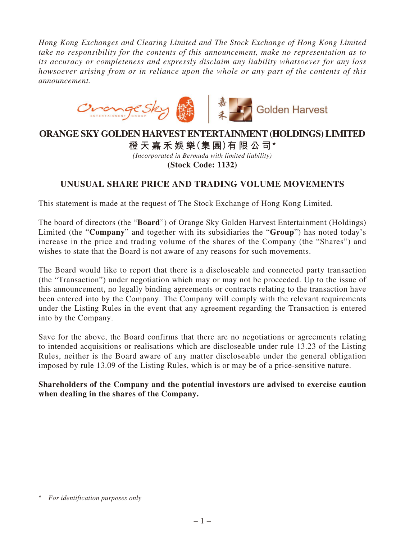*Hong Kong Exchanges and Clearing Limited and The Stock Exchange of Hong Kong Limited take no responsibility for the contents of this announcement, make no representation as to its accuracy or completeness and expressly disclaim any liability whatsoever for any loss howsoever arising from or in reliance upon the whole or any part of the contents of this announcement.*



## **ORANGE SKY GOLDEN HARVEST ENTERTAINMENT (HOLDINGS) LIMITED**

**橙天嘉禾娛樂(集 團)有限公司\*** *(Incorporated in Bermuda with limited liability)* **(Stock Code: 1132)**

## **UNUSUAL SHARE PRICE AND TRADING VOLUME MOVEMENTS**

This statement is made at the request of The Stock Exchange of Hong Kong Limited.

The board of directors (the "**Board**") of Orange Sky Golden Harvest Entertainment (Holdings) Limited (the "**Company**" and together with its subsidiaries the "**Group**") has noted today's increase in the price and trading volume of the shares of the Company (the "Shares") and wishes to state that the Board is not aware of any reasons for such movements.

The Board would like to report that there is a discloseable and connected party transaction (the "Transaction") under negotiation which may or may not be proceeded. Up to the issue of this announcement, no legally binding agreements or contracts relating to the transaction have been entered into by the Company. The Company will comply with the relevant requirements under the Listing Rules in the event that any agreement regarding the Transaction is entered into by the Company.

Save for the above, the Board confirms that there are no negotiations or agreements relating to intended acquisitions or realisations which are discloseable under rule 13.23 of the Listing Rules, neither is the Board aware of any matter discloseable under the general obligation imposed by rule 13.09 of the Listing Rules, which is or may be of a price-sensitive nature.

**Shareholders of the Company and the potential investors are advised to exercise caution when dealing in the shares of the Company.**

<sup>\*</sup> *For identification purposes only*